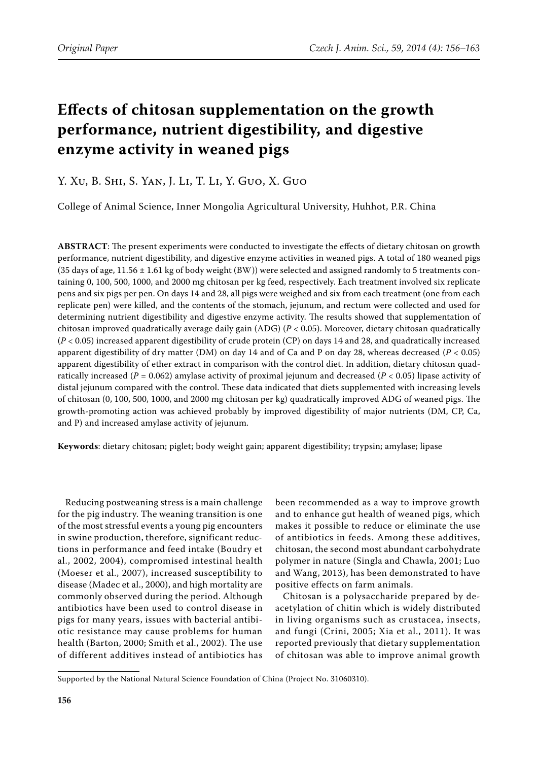# **Effects of chitosan supplementation on the growth performance, nutrient digestibility, and digestive enzyme activity in weaned pigs**

## Y. Xu, B. Shi, S. Yan, J. Li, T. Li, Y. Guo, X. Guo

College of Animal Science, Inner Mongolia Agricultural University, Huhhot, P.R. China

**ABSTRACT**: The present experiments were conducted to investigate the effects of dietary chitosan on growth performance, nutrient digestibility, and digestive enzyme activities in weaned pigs. A total of 180 weaned pigs (35 days of age,  $11.56 \pm 1.61$  kg of body weight (BW)) were selected and assigned randomly to 5 treatments containing 0, 100, 500, 1000, and 2000 mg chitosan per kg feed, respectively. Each treatment involved six replicate pens and six pigs per pen. On days 14 and 28, all pigs were weighed and six from each treatment (one from each replicate pen) were killed, and the contents of the stomach, jejunum, and rectum were collected and used for determining nutrient digestibility and digestive enzyme activity. The results showed that supplementation of chitosan improved quadratically average daily gain (ADG) (*P* < 0.05). Moreover, dietary chitosan quadratically (*P* < 0.05) increased apparent digestibility of crude protein (CP) on days 14 and 28, and quadratically increased apparent digestibility of dry matter (DM) on day 14 and of Ca and P on day 28, whereas decreased (*P* < 0.05) apparent digestibility of ether extract in comparison with the control diet. In addition, dietary chitosan quadratically increased ( $P = 0.062$ ) amylase activity of proximal jejunum and decreased ( $P < 0.05$ ) lipase activity of distal jejunum compared with the control. These data indicated that diets supplemented with increasing levels of chitosan (0, 100, 500, 1000, and 2000 mg chitosan per kg) quadratically improved ADG of weaned pigs. The growth-promoting action was achieved probably by improved digestibility of major nutrients (DM, CP, Ca, and P) and increased amylase activity of jejunum.

**Keywords**: dietary chitosan; piglet; body weight gain; apparent digestibility; trypsin; amylase; lipase

Reducing postweaning stress is a main challenge for the pig industry. The weaning transition is one of the most stressful events a young pig encounters in swine production, therefore, significant reductions in performance and feed intake (Boudry et al., 2002, 2004), compromised intestinal health (Moeser et al., 2007), increased susceptibility to disease (Madec et al., 2000), and high mortality are commonly observed during the period. Although antibiotics have been used to control disease in pigs for many years, issues with bacterial antibiotic resistance may cause problems for human health (Barton, 2000; Smith et al., 2002). The use of different additives instead of antibiotics has

been recommended as a way to improve growth and to enhance gut health of weaned pigs, which makes it possible to reduce or eliminate the use of antibiotics in feeds. Among these additives, chitosan, the second most abundant carbohydrate polymer in nature (Singla and Chawla, 2001; Luo and Wang, 2013), has been demonstrated to have positive effects on farm animals.

Chitosan is a polysaccharide prepared by deacetylation of chitin which is widely distributed in living organisms such as crustacea, insects, and fungi (Crini, 2005; Xia et al., 2011). It was reported previously that dietary supplementation of chitosan was able to improve animal growth

Supported by the National Natural Science Foundation of China (Project No. 31060310).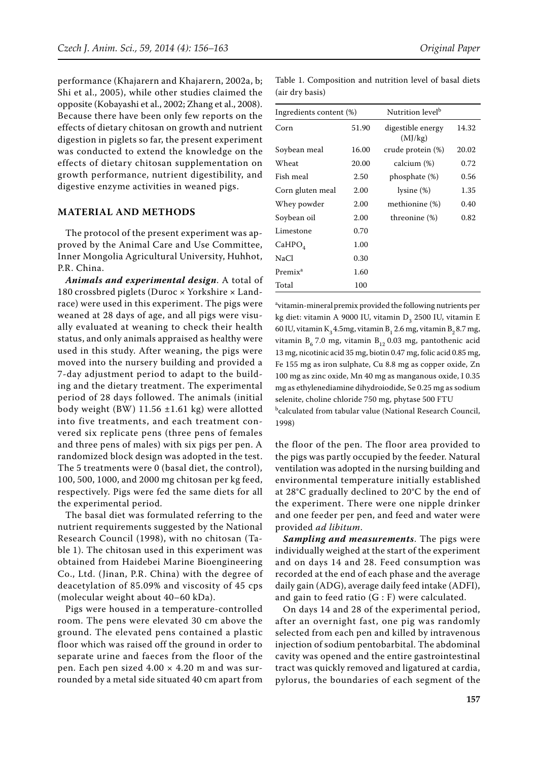performance (Khajarern and Khajarern, 2002a, b; Shi et al., 2005), while other studies claimed the opposite (Kobayashi et al., 2002; Zhang et al., 2008). Because there have been only few reports on the effects of dietary chitosan on growth and nutrient digestion in piglets so far, the present experiment was conducted to extend the knowledge on the effects of dietary chitosan supplementation on growth performance, nutrient digestibility, and digestive enzyme activities in weaned pigs.

#### **MATERIAL AND METHODS**

The protocol of the present experiment was approved by the Animal Care and Use Committee, Inner Mongolia Agricultural University, Huhhot, P.R. China.

*Animals and experimental design*. A total of 180 crossbred piglets (Duroc × Yorkshire × Landrace) were used in this experiment. The pigs were weaned at 28 days of age, and all pigs were visually evaluated at weaning to check their health status, and only animals appraised as healthy were used in this study. After weaning, the pigs were moved into the nursery building and provided a 7-day adjustment period to adapt to the building and the dietary treatment. The experimental period of 28 days followed. The animals (initial body weight (BW)  $11.56 \pm 1.61$  kg) were allotted into five treatments, and each treatment convered six replicate pens (three pens of females and three pens of males) with six pigs per pen. A randomized block design was adopted in the test. The 5 treatments were 0 (basal diet, the control), 100, 500, 1000, and 2000 mg chitosan per kg feed, respectively. Pigs were fed the same diets for all the experimental period.

The basal diet was formulated referring to the nutrient requirements suggested by the National Research Council (1998), with no chitosan (Table 1). The chitosan used in this experiment was obtained from Haidebei Marine Bioengineering Co., Ltd. (Jinan, P.R. China) with the degree of deacetylation of 85.09% and viscosity of 45 cps (molecular weight about 40–60 kDa).

Pigs were housed in a temperature-controlled room. The pens were elevated 30 cm above the ground. The elevated pens contained a plastic floor which was raised off the ground in order to separate urine and faeces from the floor of the pen. Each pen sized  $4.00 \times 4.20$  m and was surrounded by a metal side situated 40 cm apart from

Table 1. Composition and nutrition level of basal diets (air dry basis)

| Ingredients content (%) |       | Nutrition level <sup>b</sup> |       |
|-------------------------|-------|------------------------------|-------|
| Corn                    | 51.90 | digestible energy<br>(MJ/kg) | 14.32 |
| Soybean meal            | 16.00 | crude protein (%)            | 20.02 |
| Wheat                   | 20.00 | calcium (%)                  | 0.72  |
| Fish meal               | 2.50  | phosphate (%)                | 0.56  |
| Corn gluten meal        | 2.00  | lysine (%)                   | 1.35  |
| Whey powder             | 2.00  | methionine (%)               | 0.40  |
| Soybean oil             | 2.00  | threonine (%)                | 0.82  |
| Limestone               | 0.70  |                              |       |
| CaHPO <sub>4</sub>      | 1.00  |                              |       |
| NaCl                    | 0.30  |                              |       |
| Premix <sup>a</sup>     | 1.60  |                              |       |
| Total                   | 100   |                              |       |

a vitamin-mineralpremix provided the following nutrients per kg diet: vitamin A 9000 IU, vitamin  $D_3$  2500 IU, vitamin E 60 IU, vitamin  $K_3$ 4.5mg, vitamin  $B_1$  2.6 mg, vitamin  $B_2$ 8.7 mg, vitamin  $B_6$  7.0 mg, vitamin  $B_{12}$  0.03 mg, pantothenic acid 13 mg, nicotinic acid 35 mg, biotin 0.47 mg, folic acid 0.85 mg, Fe 155 mg as iron sulphate, Cu 8.8 mg as copper oxide, Zn 100 mg as zinc oxide, Mn 40 mg as manganous oxide, I 0.35 mg as ethylenediamine dihydroiodide, Se 0.25 mg as sodium selenite, choline chloride 750 mg, phytase 500 FTU b calculated from tabular value (National Research Council, 1998)

the floor of the pen. The floor area provided to the pigs was partly occupied by the feeder. Natural ventilation was adopted in the nursing building and environmental temperature initially established at 28°C gradually declined to 20°C by the end of the experiment. There were one nipple drinker and one feeder per pen, and feed and water were provided *ad libitum*.

*Sampling and measurements*. The pigs were individually weighed at the start of the experiment and on days 14 and 28. Feed consumption was recorded at the end of each phase and the average daily gain (ADG), average daily feed intake (ADFI), and gain to feed ratio (G : F) were calculated.

On days 14 and 28 of the experimental period, after an overnight fast, one pig was randomly selected from each pen and killed by intravenous injection of sodium pentobarbital. The abdominal cavity was opened and the entire gastrointestinal tract was quickly removed and ligatured at cardia, pylorus, the boundaries of each segment of the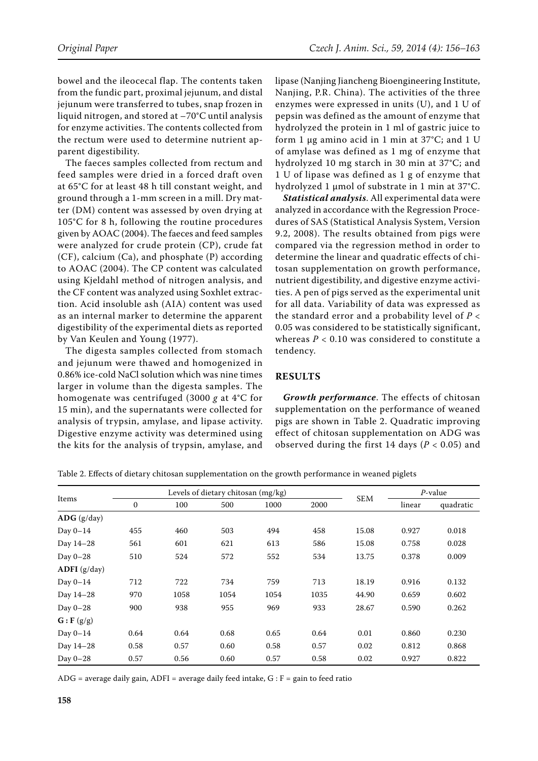bowel and the ileocecal flap. The contents taken from the fundic part, proximal jejunum, and distal jejunum were transferred to tubes, snap frozen in liquid nitrogen, and stored at –70°C until analysis for enzyme activities. The contents collected from the rectum were used to determine nutrient apparent digestibility.

The faeces samples collected from rectum and feed samples were dried in a forced draft oven at 65°C for at least 48 h till constant weight, and ground through a 1-mm screen in a mill. Dry matter (DM) content was assessed by oven drying at 105°C for 8 h, following the routine procedures given by AOAC (2004). The faeces and feed samples were analyzed for crude protein (CP), crude fat (CF), calcium (Ca), and phosphate (P) according to AOAC (2004). The CP content was calculated using Kjeldahl method of nitrogen analysis, and the CF content was analyzed using Soxhlet extraction. Acid insoluble ash (AIA) content was used as an internal marker to determine the apparent digestibility of the experimental diets as reported by Van Keulen and Young (1977).

The digesta samples collected from stomach and jejunum were thawed and homogenized in 0.86% ice-cold NaCl solution which was nine times larger in volume than the digesta samples. The homogenate was centrifuged (3000 *g* at 4°C for 15 min), and the supernatants were collected for analysis of trypsin, amylase, and lipase activity. Digestive enzyme activity was determined using the kits for the analysis of trypsin, amylase, and

lipase (Nanjing Jiancheng Bioengineering Institute, Nanjing, P.R. China). The activities of the three enzymes were expressed in units (U), and 1 U of pepsin was defined as the amount of enzyme that hydrolyzed the protein in 1 ml of gastric juice to form 1 μg amino acid in 1 min at 37°C; and 1 U of amylase was defined as 1 mg of enzyme that hydrolyzed 10 mg starch in 30 min at 37°C; and 1 U of lipase was defined as 1 g of enzyme that hydrolyzed 1 μmol of substrate in 1 min at 37°C.

*Statistical analysis*. All experimental data were analyzed in accordance with the Regression Procedures of SAS (Statistical Analysis System, Version 9.2, 2008). The results obtained from pigs were compared via the regression method in order to determine the linear and quadratic effects of chitosan supplementation on growth performance, nutrient digestibility, and digestive enzyme activities. A pen of pigs served as the experimental unit for all data. Variability of data was expressed as the standard error and a probability level of *P* < 0.05 was considered to be statistically significant, whereas  $P < 0.10$  was considered to constitute a tendency.

### **RESULTS**

*Growth performance*. The effects of chitosan supplementation on the performance of weaned pigs are shown in Table 2. Quadratic improving effect of chitosan supplementation on ADG was observed during the first 14 days ( $P < 0.05$ ) and

Table 2. Effects of dietary chitosan supplementation on the growth performance in weaned piglets

| Items                             |              | Levels of dietary chitosan (mg/kg) |      |      |      |            | $P$ -value |           |
|-----------------------------------|--------------|------------------------------------|------|------|------|------------|------------|-----------|
|                                   | $\mathbf{0}$ | 100                                | 500  | 1000 | 2000 | <b>SEM</b> | linear     | quadratic |
| $\bf{ADG}$ (g/day)                |              |                                    |      |      |      |            |            |           |
| Day $0-14$                        | 455          | 460                                | 503  | 494  | 458  | 15.08      | 0.927      | 0.018     |
| Day 14-28                         | 561          | 601                                | 621  | 613  | 586  | 15.08      | 0.758      | 0.028     |
| Day $0-28$                        | 510          | 524                                | 572  | 552  | 534  | 13.75      | 0.378      | 0.009     |
| $ADFI$ (g/day)                    |              |                                    |      |      |      |            |            |           |
| Day $0-14$                        | 712          | 722                                | 734  | 759  | 713  | 18.19      | 0.916      | 0.132     |
| Day 14-28                         | 970          | 1058                               | 1054 | 1054 | 1035 | 44.90      | 0.659      | 0.602     |
| Day $0-28$                        | 900          | 938                                | 955  | 969  | 933  | 28.67      | 0.590      | 0.262     |
| $\mathbf{G}$ : $\mathbf{F}$ (g/g) |              |                                    |      |      |      |            |            |           |
| Day $0-14$                        | 0.64         | 0.64                               | 0.68 | 0.65 | 0.64 | 0.01       | 0.860      | 0.230     |
| Day 14-28                         | 0.58         | 0.57                               | 0.60 | 0.58 | 0.57 | 0.02       | 0.812      | 0.868     |
| Day $0-28$                        | 0.57         | 0.56                               | 0.60 | 0.57 | 0.58 | 0.02       | 0.927      | 0.822     |

ADG = average daily gain, ADFI = average daily feed intake,  $G : F =$  gain to feed ratio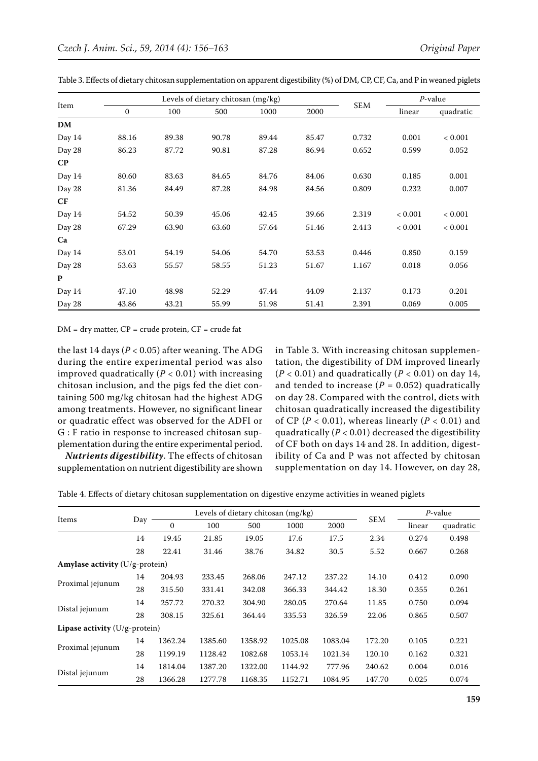| Item      |              | Levels of dietary chitosan (mg/kg) |       |       |       |            | $P$ -value |           |
|-----------|--------------|------------------------------------|-------|-------|-------|------------|------------|-----------|
|           | $\mathbf{0}$ | 100                                | 500   | 1000  | 2000  | <b>SEM</b> | linear     | quadratic |
| <b>DM</b> |              |                                    |       |       |       |            |            |           |
| Day 14    | 88.16        | 89.38                              | 90.78 | 89.44 | 85.47 | 0.732      | 0.001      | < 0.001   |
| Day 28    | 86.23        | 87.72                              | 90.81 | 87.28 | 86.94 | 0.652      | 0.599      | 0.052     |
| $\bf CP$  |              |                                    |       |       |       |            |            |           |
| Day 14    | 80.60        | 83.63                              | 84.65 | 84.76 | 84.06 | 0.630      | 0.185      | 0.001     |
| Day 28    | 81.36        | 84.49                              | 87.28 | 84.98 | 84.56 | 0.809      | 0.232      | 0.007     |
| CF        |              |                                    |       |       |       |            |            |           |
| Day 14    | 54.52        | 50.39                              | 45.06 | 42.45 | 39.66 | 2.319      | < 0.001    | < 0.001   |
| Day 28    | 67.29        | 63.90                              | 63.60 | 57.64 | 51.46 | 2.413      | < 0.001    | < 0.001   |
| Ca        |              |                                    |       |       |       |            |            |           |
| Day 14    | 53.01        | 54.19                              | 54.06 | 54.70 | 53.53 | 0.446      | 0.850      | 0.159     |
| Day 28    | 53.63        | 55.57                              | 58.55 | 51.23 | 51.67 | 1.167      | 0.018      | 0.056     |
| P         |              |                                    |       |       |       |            |            |           |
| Day 14    | 47.10        | 48.98                              | 52.29 | 47.44 | 44.09 | 2.137      | 0.173      | 0.201     |
| Day 28    | 43.86        | 43.21                              | 55.99 | 51.98 | 51.41 | 2.391      | 0.069      | 0.005     |

Table 3. Effects of dietary chitosan supplementation on apparent digestibility (%) of DM, CP, CF, Ca, and P in weaned piglets

 $DM = dry$  matter,  $CP = crude$  protein,  $CF = crude$  fat

the last 14 days  $(P < 0.05)$  after weaning. The ADG during the entire experimental period was also improved quadratically  $(P < 0.01)$  with increasing chitosan inclusion, and the pigs fed the diet containing 500 mg/kg chitosan had the highest ADG among treatments. However, no significant linear or quadratic effect was observed for the ADFI or G : F ratio in response to increased chitosan supplementation during the entire experimental period.

*Nutrients digestibility*. The effects of chitosan supplementation on nutrient digestibility are shown in Table 3. With increasing chitosan supplementation, the digestibility of DM improved linearly  $(P < 0.01)$  and quadratically  $(P < 0.01)$  on day 14, and tended to increase  $(P = 0.052)$  quadratically on day 28. Compared with the control, diets with chitosan quadratically increased the digestibility of CP ( $P < 0.01$ ), whereas linearly ( $P < 0.01$ ) and quadratically  $(P < 0.01)$  decreased the digestibility of CF both on days 14 and 28. In addition, digestibility of Ca and P was not affected by chitosan supplementation on day 14. However, on day 28,

|  | Table 4. Effects of dietary chitosan supplementation on digestive enzyme activities in weaned piglets |  |  |  |
|--|-------------------------------------------------------------------------------------------------------|--|--|--|
|--|-------------------------------------------------------------------------------------------------------|--|--|--|

| Items                            |     | Levels of dietary chitosan (mg/kg) |         |         |         |         | $P$ -value |        |           |
|----------------------------------|-----|------------------------------------|---------|---------|---------|---------|------------|--------|-----------|
|                                  | Day | $\mathbf{0}$                       | 100     | 500     | 1000    | 2000    | <b>SEM</b> | linear | quadratic |
|                                  | 14  | 19.45                              | 21.85   | 19.05   | 17.6    | 17.5    | 2.34       | 0.274  | 0.498     |
|                                  | 28  | 22.41                              | 31.46   | 38.76   | 34.82   | 30.5    | 5.52       | 0.667  | 0.268     |
| Amylase activity (U/g-protein)   |     |                                    |         |         |         |         |            |        |           |
| Proximal jejunum                 | 14  | 204.93                             | 233.45  | 268.06  | 247.12  | 237.22  | 14.10      | 0.412  | 0.090     |
|                                  | 28  | 315.50                             | 331.41  | 342.08  | 366.33  | 344.42  | 18.30      | 0.355  | 0.261     |
| Distal jejunum                   | 14  | 257.72                             | 270.32  | 304.90  | 280.05  | 270.64  | 11.85      | 0.750  | 0.094     |
|                                  | 28  | 308.15                             | 325.61  | 364.44  | 335.53  | 326.59  | 22.06      | 0.865  | 0.507     |
| Lipase activity $(U/g$ -protein) |     |                                    |         |         |         |         |            |        |           |
| Proximal jejunum                 | 14  | 1362.24                            | 1385.60 | 1358.92 | 1025.08 | 1083.04 | 172.20     | 0.105  | 0.221     |
|                                  | 28  | 1199.19                            | 1128.42 | 1082.68 | 1053.14 | 1021.34 | 120.10     | 0.162  | 0.321     |
| Distal jejunum                   | 14  | 1814.04                            | 1387.20 | 1322.00 | 1144.92 | 777.96  | 240.62     | 0.004  | 0.016     |
|                                  | 28  | 1366.28                            | 1277.78 | 1168.35 | 1152.71 | 1084.95 | 147.70     | 0.025  | 0.074     |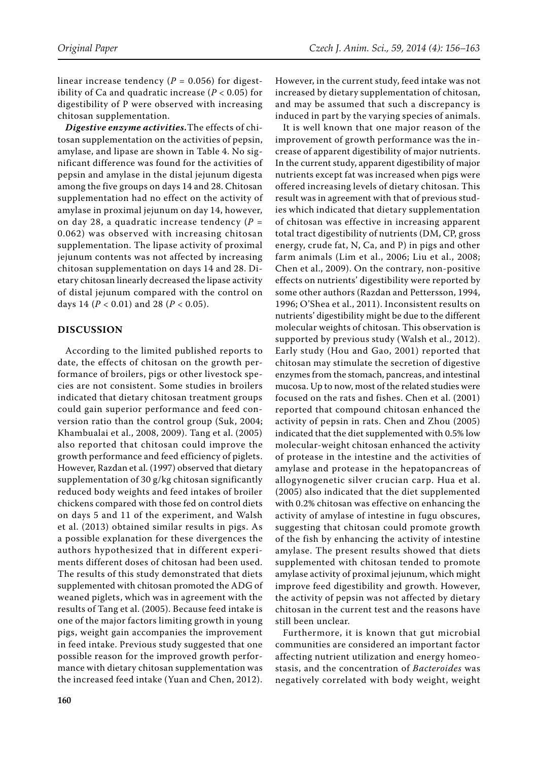linear increase tendency ( $P = 0.056$ ) for digestibility of Ca and quadratic increase  $(P < 0.05)$  for digestibility of P were observed with increasing chitosan supplementation.

*Digestive enzyme activities.*The effects of chitosan supplementation on the activities of pepsin, amylase, and lipase are shown in Table 4. No significant difference was found for the activities of pepsin and amylase in the distal jejunum digesta among the five groups on days 14 and 28. Chitosan supplementation had no effect on the activity of amylase in proximal jejunum on day 14, however, on day 28, a quadratic increase tendency (*P* = 0.062) was observed with increasing chitosan supplementation. The lipase activity of proximal jejunum contents was not affected by increasing chitosan supplementation on days 14 and 28. Dietary chitosan linearly decreased the lipase activity of distal jejunum compared with the control on days 14 (*P* < 0.01) and 28 (*P* < 0.05).

#### **DISCUSSION**

According to the limited published reports to date, the effects of chitosan on the growth performance of broilers, pigs or other livestock species are not consistent. Some studies in broilers indicated that dietary chitosan treatment groups could gain superior performance and feed conversion ratio than the control group (Suk, 2004; Khambualai et al., 2008, 2009). Tang et al. (2005) also reported that chitosan could improve the growth performance and feed efficiency of piglets. However, Razdan et al. (1997) observed that dietary supplementation of 30 g/kg chitosan significantly reduced body weights and feed intakes of broiler chickens compared with those fed on control diets on days 5 and 11 of the experiment, and Walsh et al. (2013) obtained similar results in pigs. As a possible explanation for these divergences the authors hypothesized that in different experiments different doses of chitosan had been used. The results of this study demonstrated that diets supplemented with chitosan promoted the ADG of weaned piglets, which was in agreement with the results of Tang et al. (2005). Because feed intake is one of the major factors limiting growth in young pigs, weight gain accompanies the improvement in feed intake. Previous study suggested that one possible reason for the improved growth performance with dietary chitosan supplementation was the increased feed intake (Yuan and Chen, 2012).

However, in the current study, feed intake was not increased by dietary supplementation of chitosan, and may be assumed that such a discrepancy is induced in part by the varying species of animals.

It is well known that one major reason of the improvement of growth performance was the increase of apparent digestibility of major nutrients. In the current study, apparent digestibility of major nutrients except fat was increased when pigs were offered increasing levels of dietary chitosan. This result was in agreement with that of previous studies which indicated that dietary supplementation of chitosan was effective in increasing apparent total tract digestibility of nutrients (DM, CP, gross energy, crude fat, N, Ca, and P) in pigs and other farm animals (Lim et al., 2006; Liu et al., 2008; Chen et al., 2009). On the contrary, non-positive effects on nutrients' digestibility were reported by some other authors (Razdan and Pettersson, 1994, 1996; O'Shea et al., 2011). Inconsistent results on nutrients' digestibility might be due to the different molecular weights of chitosan. This observation is supported by previous study (Walsh et al., 2012). Early study (Hou and Gao, 2001) reported that chitosan may stimulate the secretion of digestive enzymes from the stomach, pancreas, and intestinal mucosa. Up to now, most of the related studies were focused on the rats and fishes. Chen et al. (2001) reported that compound chitosan enhanced the activity of pepsin in rats. Chen and Zhou (2005) indicated that the diet supplemented with 0.5% low molecular-weight chitosan enhanced the activity of protease in the intestine and the activities of amylase and protease in the hepatopancreas of allogynogenetic silver crucian carp. Hua et al. (2005) also indicated that the diet supplemented with 0.2% chitosan was effective on enhancing the activity of amylase of intestine in fugu obscures, suggesting that chitosan could promote growth of the fish by enhancing the activity of intestine amylase. The present results showed that diets supplemented with chitosan tended to promote amylase activity of proximal jejunum, which might improve feed digestibility and growth. However, the activity of pepsin was not affected by dietary chitosan in the current test and the reasons have still been unclear.

Furthermore, it is known that gut microbial communities are considered an important factor affecting nutrient utilization and energy homeostasis, and the concentration of *Bacteroides* was negatively correlated with body weight, weight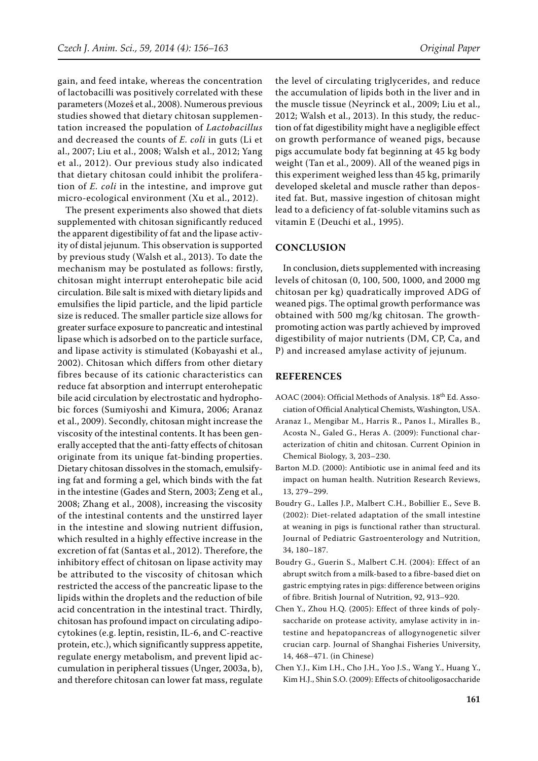gain, and feed intake, whereas the concentration of lactobacilli was positively correlated with these parameters (Mozeš et al., 2008). Numerous previous studies showed that dietary chitosan supplementation increased the population of *Lactobacillus* and decreased the counts of *E. coli* in guts (Li et al., 2007; Liu et al., 2008; Walsh et al., 2012; Yang et al., 2012). Our previous study also indicated that dietary chitosan could inhibit the proliferation of *E. coli* in the intestine, and improve gut micro-ecological environment (Xu et al., 2012).

The present experiments also showed that diets supplemented with chitosan significantly reduced the apparent digestibility of fat and the lipase activity of distal jejunum. This observation is supported by previous study (Walsh et al., 2013). To date the mechanism may be postulated as follows: firstly, chitosan might interrupt enterohepatic bile acid circulation. Bile salt is mixed with dietary lipids and emulsifies the lipid particle, and the lipid particle size is reduced. The smaller particle size allows for greater surface exposure to pancreatic and intestinal lipase which is adsorbed on to the particle surface, and lipase activity is stimulated (Kobayashi et al., 2002). Chitosan which differs from other dietary fibres because of its cationic characteristics can reduce fat absorption and interrupt enterohepatic bile acid circulation by electrostatic and hydrophobic forces (Sumiyoshi and Kimura, 2006; Aranaz et al., 2009). Secondly, chitosan might increase the viscosity of the intestinal contents. It has been generally accepted that the anti-fatty effects of chitosan originate from its unique fat-binding properties. Dietary chitosan dissolves in the stomach, emulsifying fat and forming a gel, which binds with the fat in the intestine (Gades and Stern, 2003; Zeng et al., 2008; Zhang et al., 2008), increasing the viscosity of the intestinal contents and the unstirred layer in the intestine and slowing nutrient diffusion, which resulted in a highly effective increase in the excretion of fat (Santas et al., 2012). Therefore, the inhibitory effect of chitosan on lipase activity may be attributed to the viscosity of chitosan which restricted the access of the pancreatic lipase to the lipids within the droplets and the reduction of bile acid concentration in the intestinal tract. Thirdly, chitosan has profound impact on circulating adipocytokines (e.g. leptin, resistin, IL-6, and C-reactive protein, etc.), which significantly suppress appetite, regulate energy metabolism, and prevent lipid accumulation in peripheral tissues (Unger, 2003a, b), and therefore chitosan can lower fat mass, regulate the level of circulating triglycerides, and reduce the accumulation of lipids both in the liver and in the muscle tissue (Neyrinck et al., 2009; Liu et al., 2012; Walsh et al., 2013). In this study, the reduction of fat digestibility might have a negligible effect on growth performance of weaned pigs, because pigs accumulate body fat beginning at 45 kg body weight (Tan et al., 2009). All of the weaned pigs in this experiment weighed less than 45 kg, primarily developed skeletal and muscle rather than deposited fat. But, massive ingestion of chitosan might lead to a deficiency of fat-soluble vitamins such as vitamin E (Deuchi et al., 1995).

#### **CONCLUSION**

In conclusion, diets supplemented with increasing levels of chitosan (0, 100, 500, 1000, and 2000 mg chitosan per kg) quadratically improved ADG of weaned pigs. The optimal growth performance was obtained with 500 mg/kg chitosan. The growthpromoting action was partly achieved by improved digestibility of major nutrients (DM, CP, Ca, and P) and increased amylase activity of jejunum.

#### **REFERENCES**

- AOAC (2004): Official Methods of Analysis. 18<sup>th</sup> Ed. Association of Official Analytical Chemists, Washington, USA.
- Aranaz I., Mengibar M., Harris R., Panos I., Miralles B., Acosta N., Galed G., Heras A. (2009): Functional characterization of chitin and chitosan. Current Opinion in Chemical Biology, 3, 203–230.
- Barton M.D. (2000): Antibiotic use in animal feed and its impact on human health. Nutrition Research Reviews, 13, 279–299.
- Boudry G., Lalles J.P., Malbert C.H., Bobillier E., Seve B. (2002): Diet-related adaptation of the small intestine at weaning in pigs is functional rather than structural. Journal of Pediatric Gastroenterology and Nutrition, 34, 180–187.
- Boudry G., Guerin S., Malbert C.H. (2004): Effect of an abrupt switch from a milk-based to a fibre-based diet on gastric emptying rates in pigs: difference between origins of fibre. British Journal of Nutrition, 92, 913–920.
- Chen Y., Zhou H.Q. (2005): Effect of three kinds of polysaccharide on protease activity, amylase activity in intestine and hepatopancreas of allogynogenetic silver crucian carp. Journal of Shanghai Fisheries University, 14, 468–471. (in Chinese)
- Chen Y.J., Kim I.H., Cho J.H., Yoo J.S., Wang Y., Huang Y., Kim H.J., Shin S.O. (2009): Effects of chitooligosaccharide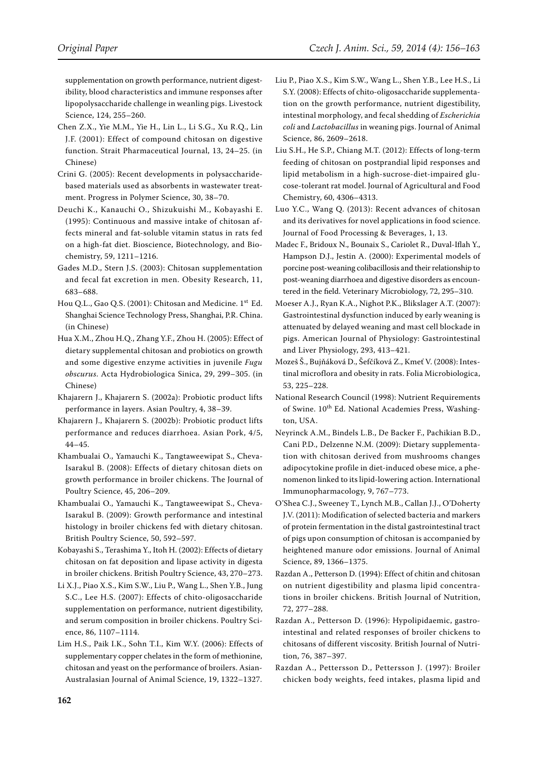supplementation on growth performance, nutrient digestibility, blood characteristics and immune responses after lipopolysaccharide challenge in weanling pigs. Livestock Science, 124, 255–260.

- Chen Z.X., Yie M.M., Yie H., Lin L., Li S.G., Xu R.Q., Lin J.F. (2001): Effect of compound chitosan on digestive function. Strait Pharmaceutical Journal, 13, 24–25. (in Chinese)
- Crini G. (2005): Recent developments in polysaccharidebased materials used as absorbents in wastewater treatment. Progress in Polymer Science, 30, 38–70.
- Deuchi K., Kanauchi O., Shizukuishi M., Kobayashi E. (1995): Continuous and massive intake of chitosan affects mineral and fat-soluble vitamin status in rats fed on a high-fat diet. Bioscience, Biotechnology, and Biochemistry, 59, 1211–1216.
- Gades M.D., Stern J.S. (2003): Chitosan supplementation and fecal fat excretion in men. Obesity Research, 11, 683–688.
- Hou Q.L., Gao Q.S. (2001): Chitosan and Medicine. 1<sup>st</sup> Ed. Shanghai Science Technology Press, Shanghai, P.R. China. (in Chinese)
- Hua X.M., Zhou H.Q., Zhang Y.F., Zhou H. (2005): Effect of dietary supplemental chitosan and probiotics on growth and some digestive enzyme activities in juvenile *Fugu obscurus*. Acta Hydrobiologica Sinica, 29, 299–305. (in Chinese)
- Khajarern J., Khajarern S. (2002a): Probiotic product lifts performance in layers. Asian Poultry, 4, 38–39.
- Khajarern J., Khajarern S. (2002b): Probiotic product lifts performance and reduces diarrhoea. Asian Pork, 4/5, 44–45.
- Khambualai O., Yamauchi K., Tangtaweewipat S., Cheva-Isarakul B. (2008): Effects of dietary chitosan diets on growth performance in broiler chickens. The Journal of Poultry Science, 45, 206–209.
- Khambualai O., Yamauchi K., Tangtaweewipat S., Cheva-Isarakul B. (2009): Growth performance and intestinal histology in broiler chickens fed with dietary chitosan. British Poultry Science, 50, 592–597.
- Kobayashi S., Terashima Y., Itoh H. (2002): Effects of dietary chitosan on fat deposition and lipase activity in digesta in broiler chickens. British Poultry Science, 43, 270–273.
- Li X.J., Piao X.S., Kim S.W., Liu P., Wang L., Shen Y.B., Jung S.C., Lee H.S. (2007): Effects of chito-oligosaccharide supplementation on performance, nutrient digestibility, and serum composition in broiler chickens. Poultry Science, 86, 1107–1114.
- Lim H.S., Paik I.K., Sohn T.I., Kim W.Y. (2006): Effects of supplementary copper chelates in the form of methionine, chitosan and yeast on the performance of broilers. Asian-Australasian Journal of Animal Science, 19, 1322–1327.
- Liu P., Piao X.S., Kim S.W., Wang L., Shen Y.B., Lee H.S., Li S.Y. (2008): Effects of chito-oligosaccharide supplementation on the growth performance, nutrient digestibility, intestinal morphology, and fecal shedding of *Escherichia coli* and *Lactobacillus* in weaning pigs. Journal of Animal Science, 86, 2609–2618.
- Liu S.H., He S.P., Chiang M.T. (2012): Effects of long-term feeding of chitosan on postprandial lipid responses and lipid metabolism in a high-sucrose-diet-impaired glucose-tolerant rat model. Journal of Agricultural and Food Chemistry, 60, 4306–4313.
- Luo Y.C., Wang Q. (2013): Recent advances of chitosan and its derivatives for novel applications in food science. Journal of Food Processing & Beverages, 1, 13.
- Madec F., Bridoux N., Bounaix S., Cariolet R., Duval-Iflah Y., Hampson D.J., Jestin A. (2000): Experimental models of porcine post-weaning colibacillosis and their relationship to post-weaning diarrhoea and digestive disorders as encountered in the field. Veterinary Microbiology, 72, 295–310.
- Moeser A.J., Ryan K.A., Nighot P.K., Blikslager A.T. (2007): Gastrointestinal dysfunction induced by early weaning is attenuated by delayed weaning and mast cell blockade in pigs. American Journal of Physiology: Gastrointestinal and Liver Physiology, 293, 413–421.
- Mozeš Š., Bujňáková D., Šefčíková Z., Kmeť V. (2008): Intestinal microflora and obesity in rats. Folia Microbiologica, 53, 225–228.
- National Research Council (1998): Nutrient Requirements of Swine. 10<sup>th</sup> Ed. National Academies Press, Washington, USA.
- Neyrinck A.M., Bindels L.B., De Backer F., Pachikian B.D., Cani P.D., Delzenne N.M. (2009): Dietary supplementation with chitosan derived from mushrooms changes adipocytokine profile in diet-induced obese mice, a phenomenon linked to its lipid-lowering action. International Immunopharmacology, 9, 767–773.
- O'Shea C.J., Sweeney T., Lynch M.B., Callan J.J., O'Doherty J.V. (2011): Modification of selected bacteria and markers of protein fermentation in the distal gastrointestinal tract of pigs upon consumption of chitosan is accompanied by heightened manure odor emissions. Journal of Animal Science, 89, 1366–1375.
- Razdan A., Petterson D. (1994): Effect of chitin and chitosan on nutrient digestibility and plasma lipid concentrations in broiler chickens. British Journal of Nutrition, 72, 277–288.
- Razdan A., Petterson D. (1996): Hypolipidaemic, gastrointestinal and related responses of broiler chickens to chitosans of different viscosity. British Journal of Nutrition, 76, 387–397.
- Razdan A., Pettersson D., Pettersson J. (1997): Broiler chicken body weights, feed intakes, plasma lipid and